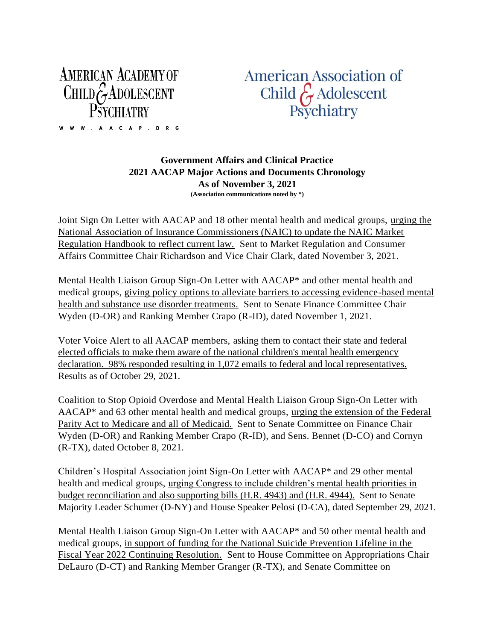**AMERICAN ACADEMY OF**  $CHILDGADOLESCENT$ **PSYCHIATR** 

W W . A A C A P . O R G

**American Association of** Child & Adolescent<br>Psychiatry

**Government Affairs and Clinical Practice 2021 AACAP Major Actions and Documents Chronology As of November 3, 2021 (Association communications noted by \*)**

Joint Sign On Letter with AACAP and 18 other mental health and medical groups, urging the National Association of Insurance Commissioners (NAIC) to update the NAIC Market Regulation Handbook to reflect current law. Sent to Market Regulation and Consumer Affairs Committee Chair Richardson and Vice Chair Clark, dated November 3, 2021.

Mental Health Liaison Group Sign-On Letter with AACAP\* and other mental health and medical groups, giving policy options to alleviate barriers to accessing evidence-based mental health and substance use disorder treatments. Sent to Senate Finance Committee Chair Wyden (D-OR) and Ranking Member Crapo (R-ID), dated November 1, 2021.

Voter Voice Alert to all AACAP members, asking them to contact their state and federal elected officials to make them aware of the national children's mental health emergency declaration. 98% responded resulting in 1,072 emails to federal and local representatives. Results as of October 29, 2021.

Coalition to Stop Opioid Overdose and Mental Health Liaison Group Sign-On Letter with AACAP\* and 63 other mental health and medical groups, urging the extension of the Federal Parity Act to Medicare and all of Medicaid. Sent to Senate Committee on Finance Chair Wyden (D-OR) and Ranking Member Crapo (R-ID), and Sens. Bennet (D-CO) and Cornyn (R-TX), dated October 8, 2021.

Children's Hospital Association joint Sign-On Letter with AACAP\* and 29 other mental health and medical groups, urging Congress to include children's mental health priorities in budget reconciliation and also supporting bills (H.R. 4943) and (H.R. 4944). Sent to Senate Majority Leader Schumer (D-NY) and House Speaker Pelosi (D-CA), dated September 29, 2021.

Mental Health Liaison Group Sign-On Letter with AACAP\* and 50 other mental health and medical groups, in support of funding for the National Suicide Prevention Lifeline in the Fiscal Year 2022 Continuing Resolution. Sent to House Committee on Appropriations Chair DeLauro (D-CT) and Ranking Member Granger (R-TX), and Senate Committee on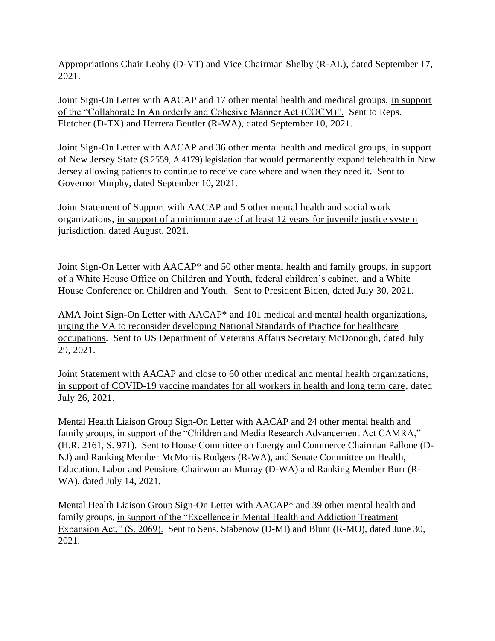Appropriations Chair Leahy (D-VT) and Vice Chairman Shelby (R-AL), dated September 17, 2021.

Joint Sign-On Letter with AACAP and 17 other mental health and medical groups, in support of the "Collaborate In An orderly and Cohesive Manner Act (COCM)". Sent to Reps. Fletcher (D-TX) and Herrera Beutler (R-WA), dated September 10, 2021.

Joint Sign-On Letter with AACAP and 36 other mental health and medical groups, in support of New Jersey State (S.2559, A.4179) legislation that would permanently expand telehealth in New Jersey allowing patients to continue to receive care where and when they need it. Sent to Governor Murphy, dated September 10, 2021.

Joint Statement of Support with AACAP and 5 other mental health and social work organizations, in support of a minimum age of at least 12 years for juvenile justice system jurisdiction, dated August, 2021.

Joint Sign-On Letter with AACAP\* and 50 other mental health and family groups, in support of a White House Office on Children and Youth, federal children's cabinet, and a White House Conference on Children and Youth. Sent to President Biden, dated July 30, 2021.

AMA Joint Sign-On Letter with AACAP\* and 101 medical and mental health organizations, urging the VA to reconsider developing National Standards of Practice for healthcare occupations. Sent to US Department of Veterans Affairs Secretary McDonough, dated July 29, 2021.

Joint Statement with AACAP and close to 60 other medical and mental health organizations, in support of COVID-19 vaccine mandates for all workers in health and long term care, dated July 26, 2021.

Mental Health Liaison Group Sign-On Letter with AACAP and 24 other mental health and family groups, in support of the "Children and Media Research Advancement Act CAMRA," (H.R. 2161, S. 971). Sent to House Committee on Energy and Commerce Chairman Pallone (D-NJ) and Ranking Member McMorris Rodgers (R-WA), and Senate Committee on Health, Education, Labor and Pensions Chairwoman Murray (D-WA) and Ranking Member Burr (R-WA), dated July 14, 2021.

Mental Health Liaison Group Sign-On Letter with AACAP\* and 39 other mental health and family groups, in support of the "Excellence in Mental Health and Addiction Treatment Expansion Act," (S. 2069). Sent to Sens. Stabenow (D-MI) and Blunt (R-MO), dated June 30, 2021.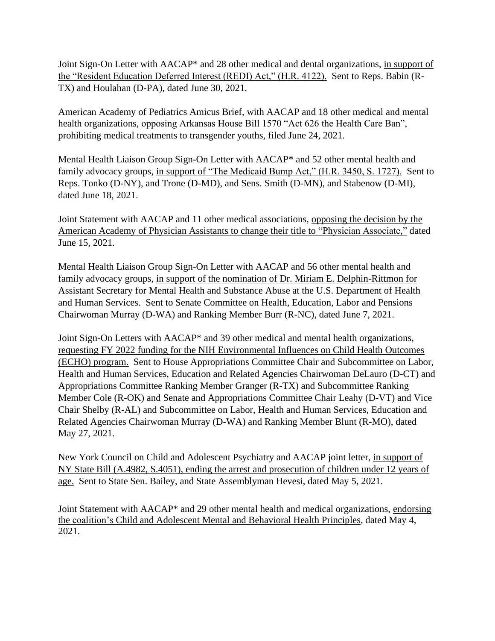Joint Sign-On Letter with AACAP<sup>\*</sup> and 28 other medical and dental organizations, in support of the "Resident Education Deferred Interest (REDI) Act," (H.R. 4122). Sent to Reps. Babin (R-TX) and Houlahan (D-PA), dated June 30, 2021.

American Academy of Pediatrics Amicus Brief, with AACAP and 18 other medical and mental health organizations, opposing Arkansas House Bill 1570 "Act 626 the Health Care Ban", prohibiting medical treatments to transgender youths, filed June 24, 2021.

Mental Health Liaison Group Sign-On Letter with AACAP\* and 52 other mental health and family advocacy groups, in support of "The Medicaid Bump Act," (H.R. 3450, S. 1727). Sent to Reps. Tonko (D-NY), and Trone (D-MD), and Sens. Smith (D-MN), and Stabenow (D-MI), dated June 18, 2021.

Joint Statement with AACAP and 11 other medical associations, opposing the decision by the American Academy of Physician Assistants to change their title to "Physician Associate," dated June 15, 2021.

Mental Health Liaison Group Sign-On Letter with AACAP and 56 other mental health and family advocacy groups, in support of the nomination of Dr. Miriam E. Delphin-Rittmon for Assistant Secretary for Mental Health and Substance Abuse at the U.S. Department of Health and Human Services. Sent to Senate Committee on Health, Education, Labor and Pensions Chairwoman Murray (D-WA) and Ranking Member Burr (R-NC), dated June 7, 2021.

Joint Sign-On Letters with AACAP\* and 39 other medical and mental health organizations, requesting FY 2022 funding for the NIH Environmental Influences on Child Health Outcomes (ECHO) program. Sent to House Appropriations Committee Chair and Subcommittee on Labor, Health and Human Services, Education and Related Agencies Chairwoman DeLauro (D-CT) and Appropriations Committee Ranking Member Granger (R-TX) and Subcommittee Ranking Member Cole (R-OK) and Senate and Appropriations Committee Chair Leahy (D-VT) and Vice Chair Shelby (R-AL) and Subcommittee on Labor, Health and Human Services, Education and Related Agencies Chairwoman Murray (D-WA) and Ranking Member Blunt (R-MO), dated May 27, 2021.

New York Council on Child and Adolescent Psychiatry and AACAP joint letter, in support of NY State Bill (A.4982, S.4051), ending the arrest and prosecution of children under 12 years of age. Sent to State Sen. Bailey, and State Assemblyman Hevesi, dated May 5, 2021.

Joint Statement with AACAP\* and 29 other mental health and medical organizations, endorsing the coalition's Child and Adolescent Mental and Behavioral Health Principles, dated May 4, 2021.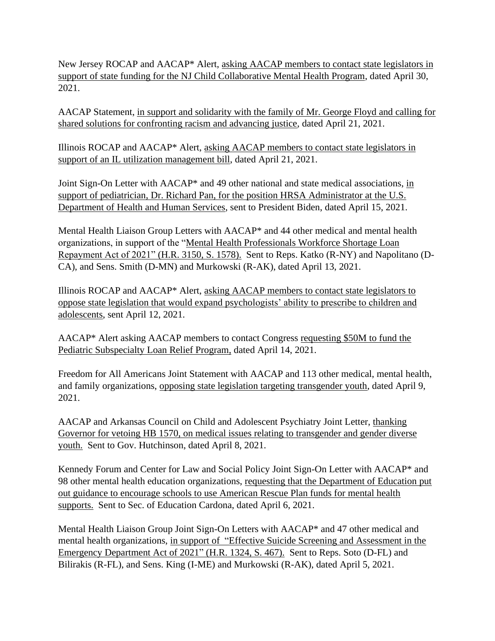New Jersey ROCAP and AACAP\* Alert, asking AACAP members to contact state legislators in support of state funding for the NJ Child Collaborative Mental Health Program, dated April 30, 2021.

AACAP Statement, in support and solidarity with the family of Mr. George Floyd and calling for shared solutions for confronting racism and advancing justice, dated April 21, 2021.

Illinois ROCAP and AACAP\* Alert, asking AACAP members to contact state legislators in support of an IL utilization management bill, dated April 21, 2021.

Joint Sign-On Letter with AACAP\* and 49 other national and state medical associations, in support of pediatrician, Dr. Richard Pan, for the position HRSA Administrator at the U.S. Department of Health and Human Services, sent to President Biden, dated April 15, 2021.

Mental Health Liaison Group Letters with AACAP\* and 44 other medical and mental health organizations, in support of the "Mental Health Professionals Workforce Shortage Loan Repayment Act of 2021" (H.R. 3150, S. 1578). Sent to Reps. Katko (R-NY) and Napolitano (D-CA), and Sens. Smith (D-MN) and Murkowski (R-AK), dated April 13, 2021.

Illinois ROCAP and AACAP\* Alert, asking AACAP members to contact state legislators to oppose state legislation that would expand psychologists' ability to prescribe to children and adolescents, sent April 12, 2021.

AACAP\* Alert asking AACAP members to contact Congress requesting \$50M to fund the Pediatric Subspecialty Loan Relief Program, dated April 14, 2021.

Freedom for All Americans Joint Statement with AACAP and 113 other medical, mental health, and family organizations, opposing state legislation targeting transgender youth, dated April 9, 2021.

AACAP and Arkansas Council on Child and Adolescent Psychiatry Joint Letter, thanking Governor for vetoing HB 1570, on medical issues relating to transgender and gender diverse youth. Sent to Gov. Hutchinson, dated April 8, 2021.

Kennedy Forum and Center for Law and Social Policy Joint Sign-On Letter with AACAP\* and 98 other mental health education organizations, requesting that the Department of Education put out guidance to encourage schools to use American Rescue Plan funds for mental health supports. Sent to Sec. of Education Cardona, dated April 6, 2021.

Mental Health Liaison Group Joint Sign-On Letters with AACAP\* and 47 other medical and mental health organizations, in support of "Effective Suicide Screening and Assessment in the Emergency Department Act of 2021" (H.R. 1324, S. 467). Sent to Reps. Soto (D-FL) and Bilirakis (R-FL), and Sens. King (I-ME) and Murkowski (R-AK), dated April 5, 2021.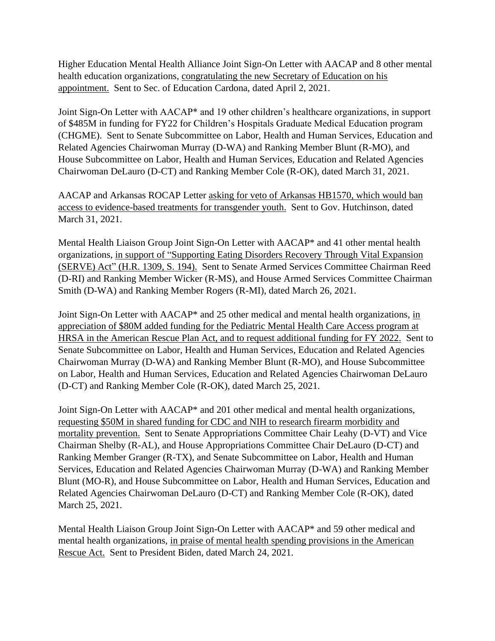Higher Education Mental Health Alliance Joint Sign-On Letter with AACAP and 8 other mental health education organizations, congratulating the new Secretary of Education on his appointment. Sent to Sec. of Education Cardona, dated April 2, 2021.

Joint Sign-On Letter with AACAP\* and 19 other children's healthcare organizations, in support of \$485M in funding for FY22 for Children's Hospitals Graduate Medical Education program (CHGME). Sent to Senate Subcommittee on Labor, Health and Human Services, Education and Related Agencies Chairwoman Murray (D-WA) and Ranking Member Blunt (R-MO), and House Subcommittee on Labor, Health and Human Services, Education and Related Agencies Chairwoman DeLauro (D-CT) and Ranking Member Cole (R-OK), dated March 31, 2021.

AACAP and Arkansas ROCAP Letter asking for veto of Arkansas HB1570, which would ban access to evidence-based treatments for transgender youth. Sent to Gov. Hutchinson, dated March 31, 2021.

Mental Health Liaison Group Joint Sign-On Letter with AACAP\* and 41 other mental health organizations, in support of "Supporting Eating Disorders Recovery Through Vital Expansion (SERVE) Act" (H.R. 1309, S. 194). Sent to Senate Armed Services Committee Chairman Reed (D-RI) and Ranking Member Wicker (R-MS), and House Armed Services Committee Chairman Smith (D-WA) and Ranking Member Rogers (R-MI), dated March 26, 2021.

Joint Sign-On Letter with AACAP\* and 25 other medical and mental health organizations, in appreciation of \$80M added funding for the Pediatric Mental Health Care Access program at HRSA in the American Rescue Plan Act, and to request additional funding for FY 2022. Sent to Senate Subcommittee on Labor, Health and Human Services, Education and Related Agencies Chairwoman Murray (D-WA) and Ranking Member Blunt (R-MO), and House Subcommittee on Labor, Health and Human Services, Education and Related Agencies Chairwoman DeLauro (D-CT) and Ranking Member Cole (R-OK), dated March 25, 2021.

Joint Sign-On Letter with AACAP\* and 201 other medical and mental health organizations, requesting \$50M in shared funding for CDC and NIH to research firearm morbidity and mortality prevention. Sent to Senate Appropriations Committee Chair Leahy (D-VT) and Vice Chairman Shelby (R-AL), and House Appropriations Committee Chair DeLauro (D-CT) and Ranking Member Granger (R-TX), and Senate Subcommittee on Labor, Health and Human Services, Education and Related Agencies Chairwoman Murray (D-WA) and Ranking Member Blunt (MO-R), and House Subcommittee on Labor, Health and Human Services, Education and Related Agencies Chairwoman DeLauro (D-CT) and Ranking Member Cole (R-OK), dated March 25, 2021.

Mental Health Liaison Group Joint Sign-On Letter with AACAP\* and 59 other medical and mental health organizations, in praise of mental health spending provisions in the American Rescue Act. Sent to President Biden, dated March 24, 2021.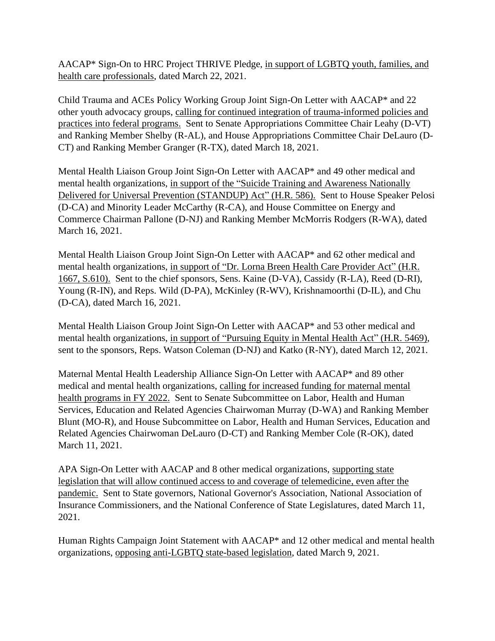AACAP\* Sign-On to HRC Project THRIVE Pledge, in support of LGBTQ youth, families, and health care professionals, dated March 22, 2021.

Child Trauma and ACEs Policy Working Group Joint Sign-On Letter with AACAP\* and 22 other youth advocacy groups, calling for continued integration of trauma-informed policies and practices into federal programs. Sent to Senate Appropriations Committee Chair Leahy (D-VT) and Ranking Member Shelby (R-AL), and House Appropriations Committee Chair DeLauro (D-CT) and Ranking Member Granger (R-TX), dated March 18, 2021.

Mental Health Liaison Group Joint Sign-On Letter with AACAP\* and 49 other medical and mental health organizations, in support of the "Suicide Training and Awareness Nationally Delivered for Universal Prevention (STANDUP) Act" (H.R. 586). Sent to House Speaker Pelosi (D-CA) and Minority Leader McCarthy (R-CA), and House Committee on Energy and Commerce Chairman Pallone (D-NJ) and Ranking Member McMorris Rodgers (R-WA), dated March 16, 2021.

Mental Health Liaison Group Joint Sign-On Letter with AACAP\* and 62 other medical and mental health organizations, in support of "Dr. Lorna Breen Health Care Provider Act" (H.R. 1667, S.610). Sent to the chief sponsors, Sens. Kaine (D-VA), Cassidy (R-LA), Reed (D-RI), Young (R-IN), and Reps. Wild (D-PA), McKinley (R-WV), Krishnamoorthi (D-IL), and Chu (D-CA), dated March 16, 2021.

Mental Health Liaison Group Joint Sign-On Letter with AACAP\* and 53 other medical and mental health organizations, in support of "Pursuing Equity in Mental Health Act" (H.R. 5469), sent to the sponsors, Reps. Watson Coleman (D-NJ) and Katko (R-NY), dated March 12, 2021.

Maternal Mental Health Leadership Alliance Sign-On Letter with AACAP\* and 89 other medical and mental health organizations, calling for increased funding for maternal mental health programs in FY 2022. Sent to Senate Subcommittee on Labor, Health and Human Services, Education and Related Agencies Chairwoman Murray (D-WA) and Ranking Member Blunt (MO-R), and House Subcommittee on Labor, Health and Human Services, Education and Related Agencies Chairwoman DeLauro (D-CT) and Ranking Member Cole (R-OK), dated March 11, 2021.

APA Sign-On Letter with AACAP and 8 other medical organizations, supporting state legislation that will allow continued access to and coverage of telemedicine, even after the pandemic. Sent to State governors, National Governor's Association, National Association of Insurance Commissioners, and the National Conference of State Legislatures, dated March 11, 2021.

Human Rights Campaign Joint Statement with AACAP\* and 12 other medical and mental health organizations, opposing anti-LGBTQ state-based legislation, dated March 9, 2021.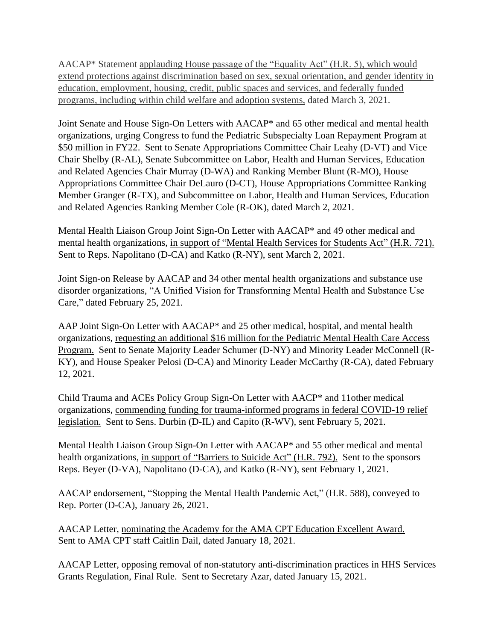AACAP\* Statement applauding House passage of the "Equality Act" (H.R. 5), which would extend protections against discrimination based on sex, sexual orientation, and gender identity in education, employment, housing, credit, public spaces and services, and federally funded programs, including within child welfare and adoption systems, dated March 3, 2021.

Joint Senate and House Sign-On Letters with AACAP\* and 65 other medical and mental health organizations, urging Congress to fund the Pediatric Subspecialty Loan Repayment Program at \$50 million in FY22. Sent to Senate Appropriations Committee Chair Leahy (D-VT) and Vice Chair Shelby (R-AL), Senate Subcommittee on Labor, Health and Human Services, Education and Related Agencies Chair Murray (D-WA) and Ranking Member Blunt (R-MO), House Appropriations Committee Chair DeLauro (D-CT), House Appropriations Committee Ranking Member Granger (R-TX), and Subcommittee on Labor, Health and Human Services, Education and Related Agencies Ranking Member Cole (R-OK), dated March 2, 2021.

Mental Health Liaison Group Joint Sign-On Letter with AACAP\* and 49 other medical and mental health organizations, in support of "Mental Health Services for Students Act" (H.R. 721). Sent to Reps. Napolitano (D-CA) and Katko (R-NY), sent March 2, 2021.

Joint Sign-on Release by AACAP and 34 other mental health organizations and substance use disorder organizations, "A Unified Vision for Transforming Mental Health and Substance Use Care," dated February 25, 2021.

AAP Joint Sign-On Letter with AACAP\* and 25 other medical, hospital, and mental health organizations, requesting an additional \$16 million for the Pediatric Mental Health Care Access Program. Sent to Senate Majority Leader Schumer (D-NY) and Minority Leader McConnell (R-KY), and House Speaker Pelosi (D-CA) and Minority Leader McCarthy (R-CA), dated February 12, 2021.

Child Trauma and ACEs Policy Group Sign-On Letter with AACP\* and 11other medical organizations, commending funding for trauma-informed programs in federal COVID-19 relief legislation. Sent to Sens. Durbin (D-IL) and Capito (R-WV), sent February 5, 2021.

Mental Health Liaison Group Sign-On Letter with AACAP\* and 55 other medical and mental health organizations, in support of "Barriers to Suicide Act" (H.R. 792). Sent to the sponsors Reps. Beyer (D-VA), Napolitano (D-CA), and Katko (R-NY), sent February 1, 2021.

AACAP endorsement, "Stopping the Mental Health Pandemic Act," (H.R. 588), conveyed to Rep. Porter (D-CA), January 26, 2021.

AACAP Letter, nominating the Academy for the AMA CPT Education Excellent Award. Sent to AMA CPT staff Caitlin Dail, dated January 18, 2021.

AACAP Letter, opposing removal of non-statutory anti-discrimination practices in HHS Services Grants Regulation, Final Rule. Sent to Secretary Azar, dated January 15, 2021.